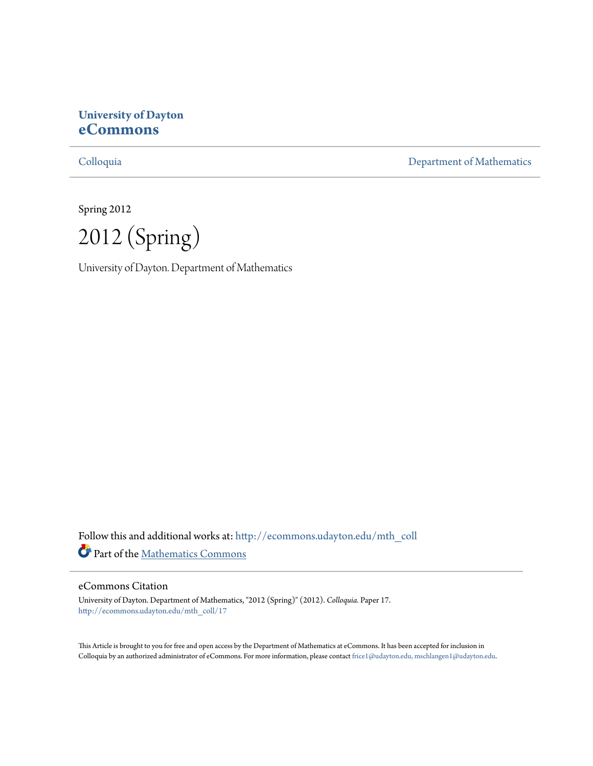# **University of Dayton [eCommons](http://ecommons.udayton.edu?utm_source=ecommons.udayton.edu%2Fmth_coll%2F17&utm_medium=PDF&utm_campaign=PDFCoverPages)**

[Colloquia](http://ecommons.udayton.edu/mth_coll?utm_source=ecommons.udayton.edu%2Fmth_coll%2F17&utm_medium=PDF&utm_campaign=PDFCoverPages) [Department of Mathematics](http://ecommons.udayton.edu/mth?utm_source=ecommons.udayton.edu%2Fmth_coll%2F17&utm_medium=PDF&utm_campaign=PDFCoverPages)

Spring 2012

2012 (Spring)

University of Dayton. Department of Mathematics

Follow this and additional works at: [http://ecommons.udayton.edu/mth\\_coll](http://ecommons.udayton.edu/mth_coll?utm_source=ecommons.udayton.edu%2Fmth_coll%2F17&utm_medium=PDF&utm_campaign=PDFCoverPages) Part of the [Mathematics Commons](http://network.bepress.com/hgg/discipline/174?utm_source=ecommons.udayton.edu%2Fmth_coll%2F17&utm_medium=PDF&utm_campaign=PDFCoverPages)

#### eCommons Citation

University of Dayton. Department of Mathematics, "2012 (Spring)" (2012). *Colloquia.* Paper 17. [http://ecommons.udayton.edu/mth\\_coll/17](http://ecommons.udayton.edu/mth_coll/17?utm_source=ecommons.udayton.edu%2Fmth_coll%2F17&utm_medium=PDF&utm_campaign=PDFCoverPages)

This Article is brought to you for free and open access by the Department of Mathematics at eCommons. It has been accepted for inclusion in Colloquia by an authorized administrator of eCommons. For more information, please contact [frice1@udayton.edu, mschlangen1@udayton.edu.](mailto:frice1@udayton.edu,%20mschlangen1@udayton.edu)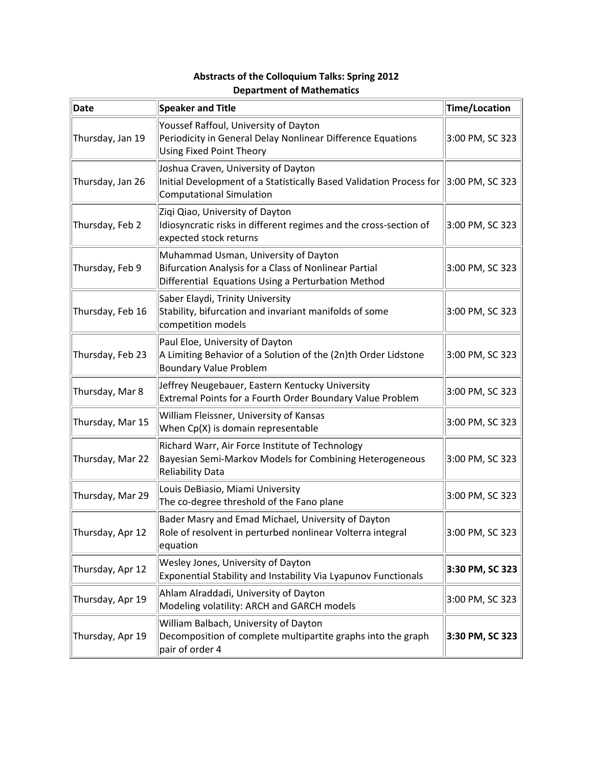| Date             | <b>Speaker and Title</b>                                                                                                                                         | <b>Time/Location</b> |
|------------------|------------------------------------------------------------------------------------------------------------------------------------------------------------------|----------------------|
| Thursday, Jan 19 | Youssef Raffoul, University of Dayton<br>Periodicity in General Delay Nonlinear Difference Equations<br><b>Using Fixed Point Theory</b>                          | 3:00 PM, SC 323      |
| Thursday, Jan 26 | Joshua Craven, University of Dayton<br>Initial Development of a Statistically Based Validation Process for $ 3:00$ PM, SC 323<br><b>Computational Simulation</b> |                      |
| Thursday, Feb 2  | Ziqi Qiao, University of Dayton<br>Idiosyncratic risks in different regimes and the cross-section of<br>expected stock returns                                   | 3:00 PM, SC 323      |
| Thursday, Feb 9  | Muhammad Usman, University of Dayton<br>Bifurcation Analysis for a Class of Nonlinear Partial<br>Differential Equations Using a Perturbation Method              | 3:00 PM, SC 323      |
| Thursday, Feb 16 | Saber Elaydi, Trinity University<br>Stability, bifurcation and invariant manifolds of some<br>competition models                                                 | 3:00 PM, SC 323      |
| Thursday, Feb 23 | Paul Eloe, University of Dayton<br>A Limiting Behavior of a Solution of the (2n)th Order Lidstone<br><b>Boundary Value Problem</b>                               | 3:00 PM, SC 323      |
| Thursday, Mar 8  | Jeffrey Neugebauer, Eastern Kentucky University<br>Extremal Points for a Fourth Order Boundary Value Problem                                                     | 3:00 PM, SC 323      |
| Thursday, Mar 15 | William Fleissner, University of Kansas<br>When Cp(X) is domain representable                                                                                    | 3:00 PM, SC 323      |
| Thursday, Mar 22 | Richard Warr, Air Force Institute of Technology<br>Bayesian Semi-Markov Models for Combining Heterogeneous<br>Reliability Data                                   | 3:00 PM, SC 323      |
| Thursday, Mar 29 | Louis DeBiasio, Miami University<br>The co-degree threshold of the Fano plane                                                                                    | 3:00 PM, SC 323      |
| Thursday, Apr 12 | Bader Masry and Emad Michael, University of Dayton<br>Role of resolvent in perturbed nonlinear Volterra integral<br>equation                                     | 3:00 PM, SC 323      |
| Thursday, Apr 12 | Wesley Jones, University of Dayton<br>Exponential Stability and Instability Via Lyapunov Functionals                                                             | 3:30 PM, SC 323      |
| Thursday, Apr 19 | Ahlam Alraddadi, University of Dayton<br>Modeling volatility: ARCH and GARCH models                                                                              | 3:00 PM, SC 323      |
| Thursday, Apr 19 | William Balbach, University of Dayton<br>Decomposition of complete multipartite graphs into the graph<br>pair of order 4                                         | 3:30 PM, SC 323      |

## **Abstracts of the Colloquium Talks: Spring 2012 Department of Mathematics**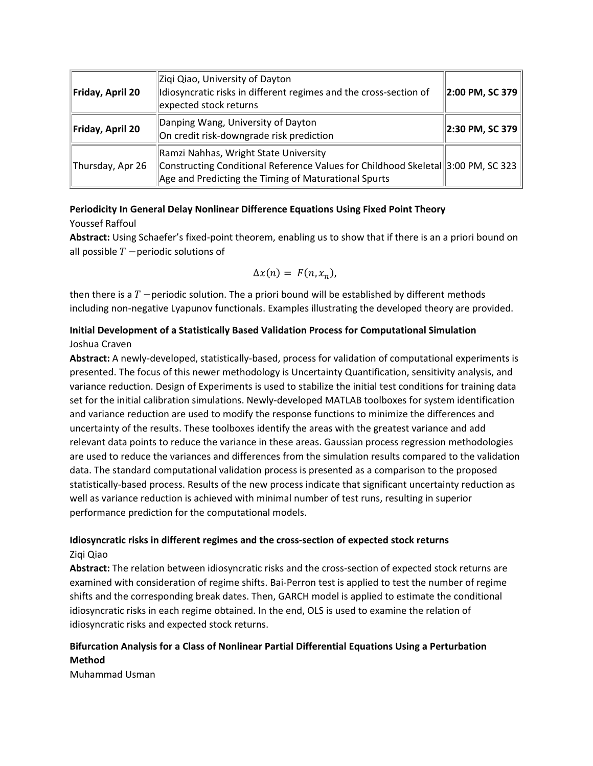| Friday, April 20 | Ziqi Qiao, University of Dayton<br>Idiosyncratic risks in different regimes and the cross-section of<br>expected stock returns                                                    | $\ $ 2:00 PM, SC 379 $\ $       |
|------------------|-----------------------------------------------------------------------------------------------------------------------------------------------------------------------------------|---------------------------------|
| Friday, April 20 | Danping Wang, University of Dayton<br>On credit risk-downgrade risk prediction                                                                                                    | $\vert$ 2:30 PM, SC 379 $\vert$ |
| Thursday, Apr 26 | Ramzi Nahhas, Wright State University<br>Constructing Conditional Reference Values for Childhood Skeletal 3:00 PM, SC 323<br>Age and Predicting the Timing of Maturational Spurts |                                 |

### **Periodicity In General Delay Nonlinear Difference Equations Using Fixed Point Theory** Youssef Raffoul

**Abstract:** Using Schaefer's fixed‐point theorem, enabling us to show that if there is an a priori bound on all possible  $T$  -periodic solutions of

$$
\Delta x(n) = F(n, x_n),
$$

then there is a  $T$  -periodic solution. The a priori bound will be established by different methods including non‐negative Lyapunov functionals. Examples illustrating the developed theory are provided.

## **Initial Development of a Statistically Based Validation Process for Computational Simulation** Joshua Craven

**Abstract:** A newly‐developed, statistically‐based, process for validation of computational experiments is presented. The focus of this newer methodology is Uncertainty Quantification, sensitivity analysis, and variance reduction. Design of Experiments is used to stabilize the initial test conditions for training data set for the initial calibration simulations. Newly‐developed MATLAB toolboxes for system identification and variance reduction are used to modify the response functions to minimize the differences and uncertainty of the results. These toolboxes identify the areas with the greatest variance and add relevant data points to reduce the variance in these areas. Gaussian process regression methodologies are used to reduce the variances and differences from the simulation results compared to the validation data. The standard computational validation process is presented as a comparison to the proposed statistically‐based process. Results of the new process indicate that significant uncertainty reduction as well as variance reduction is achieved with minimal number of test runs, resulting in superior performance prediction for the computational models.

## **Idiosyncratic risks in different regimes and the cross‐section of expected stock returns** Ziqi Qiao

**Abstract:** The relation between idiosyncratic risks and the cross‐section of expected stock returns are examined with consideration of regime shifts. Bai‐Perron test is applied to test the number of regime shifts and the corresponding break dates. Then, GARCH model is applied to estimate the conditional idiosyncratic risks in each regime obtained. In the end, OLS is used to examine the relation of idiosyncratic risks and expected stock returns.

## **Bifurcation Analysis for a Class of Nonlinear Partial Differential Equations Using a Perturbation Method**

Muhammad Usman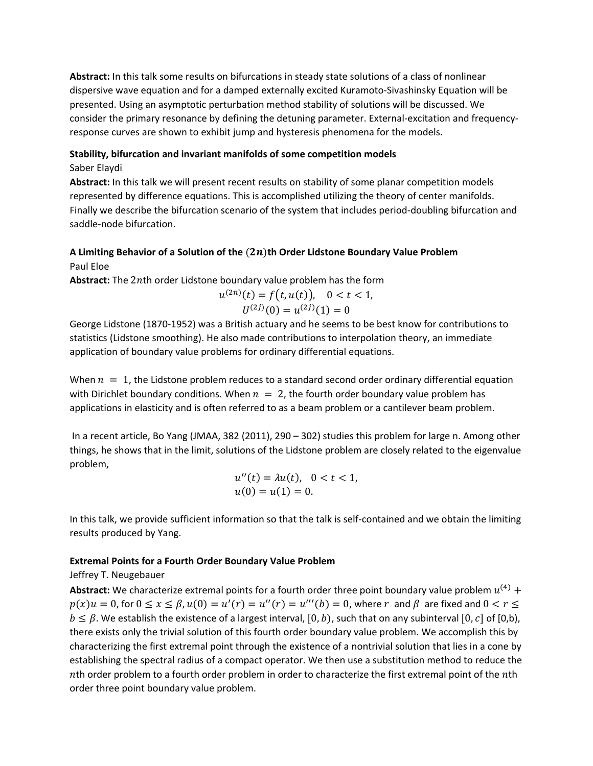**Abstract:** In this talk some results on bifurcations in steady state solutions of a class of nonlinear dispersive wave equation and for a damped externally excited Kuramoto‐Sivashinsky Equation will be presented. Using an asymptotic perturbation method stability of solutions will be discussed. We consider the primary resonance by defining the detuning parameter. External‐excitation and frequency‐ response curves are shown to exhibit jump and hysteresis phenomena for the models.

#### **Stability, bifurcation and invariant manifolds of some competition models**

#### Saber Elaydi

**Abstract:** In this talk we will present recent results on stability of some planar competition models represented by difference equations. This is accomplished utilizing the theory of center manifolds. Finally we describe the bifurcation scenario of the system that includes period-doubling bifurcation and saddle‐node bifurcation.

## **A Limiting Behavior of a Solution of the** ሺሻ**th Order Lidstone Boundary Value Problem** Paul Eloe

**Abstract:** The 2nth order Lidstone boundary value problem has the form

$$
u^{(2n)}(t) = f(t, u(t)), \quad 0 < t < 1,
$$
  

$$
U^{(2j)}(0) = u^{(2j)}(1) = 0
$$

George Lidstone (1870‐1952) was a British actuary and he seems to be best know for contributions to statistics (Lidstone smoothing). He also made contributions to interpolation theory, an immediate application of boundary value problems for ordinary differential equations.

When  $n = 1$ , the Lidstone problem reduces to a standard second order ordinary differential equation with Dirichlet boundary conditions. When  $n = 2$ , the fourth order boundary value problem has applications in elasticity and is often referred to as a beam problem or a cantilever beam problem.

In a recent article, Bo Yang (JMAA, 382 (2011), 290 – 302) studies this problem for large n. Among other things, he shows that in the limit, solutions of the Lidstone problem are closely related to the eigenvalue problem,

$$
u''(t) = \lambda u(t), \quad 0 < t < 1, \\ u(0) = u(1) = 0.
$$

In this talk, we provide sufficient information so that the talk is self‐contained and we obtain the limiting results produced by Yang.

### **Extremal Points for a Fourth Order Boundary Value Problem**

### Jeffrey T. Neugebauer

**Abstract:** We characterize extremal points for a fourth order three point boundary value problem  $u^{(4)}$  +  $p(x)u = 0$ , for  $0 \le x \le \beta$ ,  $u(0) = u'(r) = u''(r) = u'''(b) = 0$ , where  $r$  and  $\beta$  are fixed and  $0 < r \le$  $b \leq \beta$ . We establish the existence of a largest interval,  $[0, b)$ , such that on any subinterval  $[0, c]$  of  $[0,b)$ , there exists only the trivial solution of this fourth order boundary value problem. We accomplish this by characterizing the first extremal point through the existence of a nontrivial solution that lies in a cone by establishing the spectral radius of a compact operator. We then use a substitution method to reduce the  $n$ th order problem to a fourth order problem in order to characterize the first extremal point of the  $n$ th order three point boundary value problem.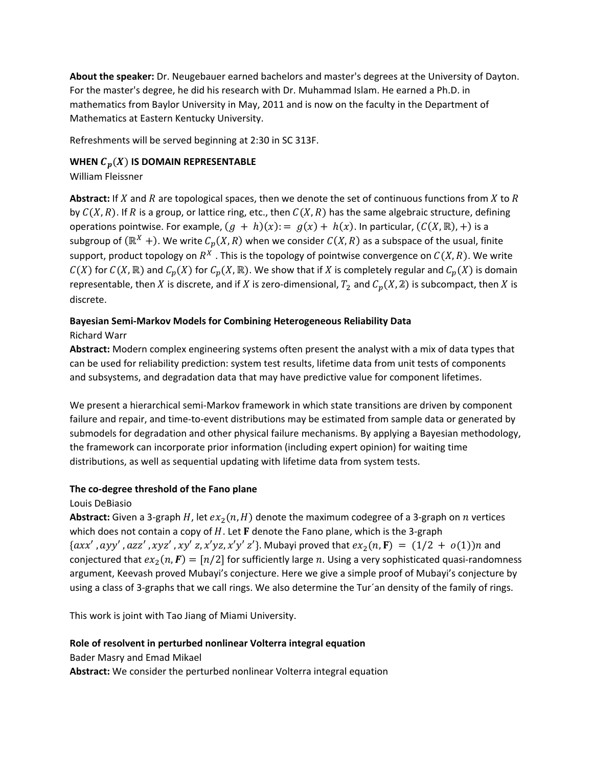**About the speaker:** Dr. Neugebauer earned bachelors and master's degrees at the University of Dayton. For the master's degree, he did his research with Dr. Muhammad Islam. He earned a Ph.D. in mathematics from Baylor University in May, 2011 and is now on the faculty in the Department of Mathematics at Eastern Kentucky University.

Refreshments will be served beginning at 2:30 in SC 313F.

### **WHEN**  $C_p(X)$  IS DOMAIN REPRESENTABLE

### William Fleissner

**Abstract:** If  $X$  and  $R$  are topological spaces, then we denote the set of continuous functions from  $X$  to  $R$ by  $C(X, R)$ . If R is a group, or lattice ring, etc., then  $C(X, R)$  has the same algebraic structure, defining operations pointwise. For example,  $(g + h)(x) := g(x) + h(x)$ . In particular,  $(C(X, \mathbb{R}), +)$  is a subgroup of  $(\mathbb{R}^X +)$ . We write  $C_p(X, R)$  when we consider  $C(X, R)$  as a subspace of the usual, finite support, product topology on  $R^X$ . This is the topology of pointwise convergence on  $C(X, R)$ . We write  $C(X)$  for  $C(X,\mathbb{R})$  and  $C_p(X)$  for  $C_p(X,\mathbb{R})$ . We show that if X is completely regular and  $C_p(X)$  is domain representable, then X is discrete, and if X is zero-dimensional,  $T_2$  and  $C_p(X,\mathbb{Z})$  is subcompact, then X is discrete.

#### **Bayesian Semi‐Markov Models for Combining Heterogeneous Reliability Data** Richard Warr

**Abstract:** Modern complex engineering systems often present the analyst with a mix of data types that can be used for reliability prediction: system test results, lifetime data from unit tests of components and subsystems, and degradation data that may have predictive value for component lifetimes.

We present a hierarchical semi‐Markov framework in which state transitions are driven by component failure and repair, and time-to-event distributions may be estimated from sample data or generated by submodels for degradation and other physical failure mechanisms. By applying a Bayesian methodology, the framework can incorporate prior information (including expert opinion) for waiting time distributions, as well as sequential updating with lifetime data from system tests.

#### **The co‐degree threshold of the Fano plane**

#### Louis DeBiasio

**Abstract:** Given a 3-graph  $H$ , let  $ex_2(n, H)$  denote the maximum codegree of a 3-graph on *n* vertices which does not contain a copy of  $H$ . Let  **denote the Fano plane, which is the 3-graph**  $\{axx', ayy', azz', xyz', xy'z, x'yz, x'y'z'\}.$  Mubayi proved that  $ex_2(n, F) = (1/2 + o(1))n$  and conjectured that  $ex_2(n, F) = [n/2]$  for sufficiently large n. Using a very sophisticated quasi-randomness argument, Keevash proved Mubayi's conjecture. Here we give a simple proof of Mubayi's conjecture by using a class of 3‐graphs that we call rings. We also determine the Tur´an density of the family of rings.

This work is joint with Tao Jiang of Miami University.

#### **Role of resolvent in perturbed nonlinear Volterra integral equation**

Bader Masry and Emad Mikael

**Abstract:** We consider the perturbed nonlinear Volterra integral equation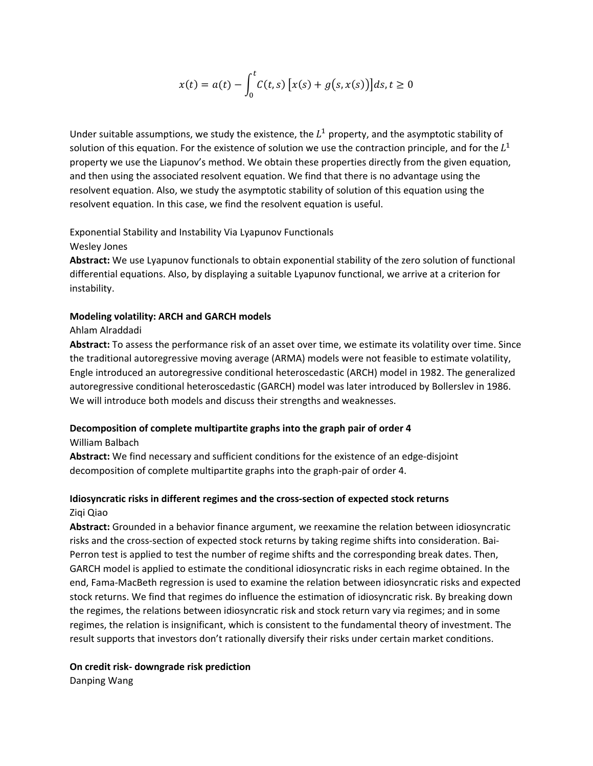$$
x(t) = a(t) - \int_0^t C(t,s) [x(s) + g(s, x(s))]ds, t \ge 0
$$

Under suitable assumptions, we study the existence, the  $L^1$  property, and the asymptotic stability of solution of this equation. For the existence of solution we use the contraction principle, and for the  $L^1$ property we use the Liapunov's method. We obtain these properties directly from the given equation, and then using the associated resolvent equation. We find that there is no advantage using the resolvent equation. Also, we study the asymptotic stability of solution of this equation using the resolvent equation. In this case, we find the resolvent equation is useful.

### Exponential Stability and Instability Via Lyapunov Functionals Wesley Jones

**Abstract:** We use Lyapunov functionals to obtain exponential stability of the zero solution of functional differential equations. Also, by displaying a suitable Lyapunov functional, we arrive at a criterion for instability.

## **Modeling volatility: ARCH and GARCH models**

### Ahlam Alraddadi

**Abstract:** To assess the performance risk of an asset over time, we estimate its volatility over time. Since the traditional autoregressive moving average (ARMA) models were not feasible to estimate volatility, Engle introduced an autoregressive conditional heteroscedastic (ARCH) model in 1982. The generalized autoregressive conditional heteroscedastic (GARCH) model was later introduced by Bollerslev in 1986. We will introduce both models and discuss their strengths and weaknesses.

## **Decomposition of complete multipartite graphs into the graph pair of order 4**

William Balbach

**Abstract:** We find necessary and sufficient conditions for the existence of an edge‐disjoint decomposition of complete multipartite graphs into the graph‐pair of order 4.

## **Idiosyncratic risks in different regimes and the cross‐section of expected stock returns** Ziqi Qiao

**Abstract:** Grounded in a behavior finance argument, we reexamine the relation between idiosyncratic risks and the cross-section of expected stock returns by taking regime shifts into consideration. Bai-Perron test is applied to test the number of regime shifts and the corresponding break dates. Then, GARCH model is applied to estimate the conditional idiosyncratic risks in each regime obtained. In the end, Fama‐MacBeth regression is used to examine the relation between idiosyncratic risks and expected stock returns. We find that regimes do influence the estimation of idiosyncratic risk. By breaking down the regimes, the relations between idiosyncratic risk and stock return vary via regimes; and in some regimes, the relation is insignificant, which is consistent to the fundamental theory of investment. The result supports that investors don't rationally diversify their risks under certain market conditions.

### **On credit risk‐ downgrade risk prediction**

Danping Wang